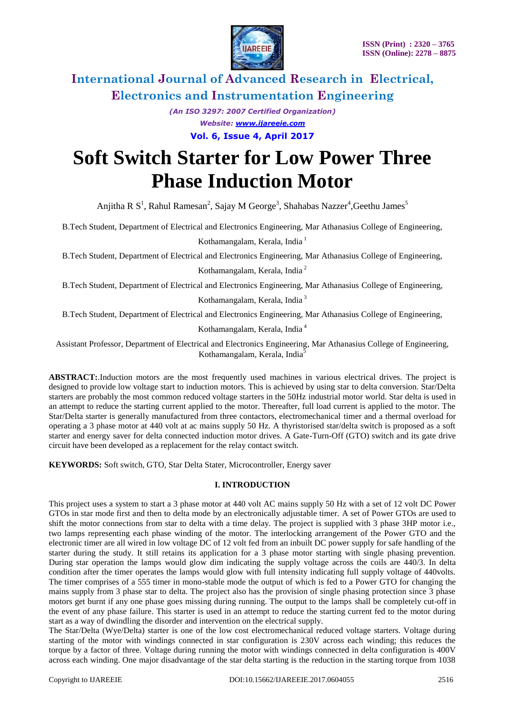

*(An ISO 3297: 2007 Certified Organization) Website: [www.ijareeie.com](http://www.ijareeie.com/)* **Vol. 6, Issue 4, April 2017**

# **Soft Switch Starter for Low Power Three Phase Induction Motor**

Anjitha R S<sup>1</sup>, Rahul Ramesan<sup>2</sup>, Sajay M George<sup>3</sup>, Shahabas Nazzer<sup>4</sup>, Geethu James<sup>5</sup>

B.Tech Student, Department of Electrical and Electronics Engineering, Mar Athanasius College of Engineering,

Kothamangalam, Kerala, India<sup>1</sup>

B.Tech Student, Department of Electrical and Electronics Engineering, Mar Athanasius College of Engineering, Kothamangalam, Kerala, India <sup>2</sup>

B.Tech Student, Department of Electrical and Electronics Engineering, Mar Athanasius College of Engineering,

Kothamangalam, Kerala, India <sup>3</sup>

B.Tech Student, Department of Electrical and Electronics Engineering, Mar Athanasius College of Engineering,

Kothamangalam, Kerala, India <sup>4</sup>

Assistant Professor, Department of Electrical and Electronics Engineering, Mar Athanasius College of Engineering, Kothamangalam, Kerala, India<sup>5</sup>

**ABSTRACT:**.Induction motors are the most frequently used machines in various electrical drives. The project is designed to provide low voltage start to induction motors. This is achieved by using star to delta conversion. Star/Delta starters are probably the most common reduced voltage starters in the 50Hz industrial motor world. Star delta is used in an attempt to reduce the starting current applied to the motor. Thereafter, full load current is applied to the motor. The Star/Delta starter is generally manufactured from three contactors, electromechanical timer and a thermal overload for operating a 3 phase motor at 440 volt at ac mains supply 50 Hz. A thyristorised star/delta switch is proposed as a soft starter and energy saver for delta connected induction motor drives. A Gate-Turn-Off (GTO) switch and its gate drive circuit have been developed as a replacement for the relay contact switch.

**KEYWORDS:** Soft switch, GTO, Star Delta Stater, Microcontroller, Energy saver

### **I. INTRODUCTION**

This project uses a system to start a 3 phase motor at 440 volt AC mains supply 50 Hz with a set of 12 volt DC Power GTOs in star mode first and then to delta mode by an electronically adjustable timer. A set of Power GTOs are used to shift the motor connections from star to delta with a time delay. The project is supplied with 3 phase 3HP motor i.e., two lamps representing each phase winding of the motor. The interlocking arrangement of the Power GTO and the electronic timer are all wired in low voltage DC of 12 volt fed from an inbuilt DC power supply for safe handling of the starter during the study. It still retains its application for a 3 phase motor starting with single phasing prevention. During star operation the lamps would glow dim indicating the supply voltage across the coils are 440/3. In delta condition after the timer operates the lamps would glow with full intensity indicating full supply voltage of 440volts. The timer comprises of a 555 timer in mono-stable mode the output of which is fed to a Power GTO for changing the mains supply from 3 phase star to delta. The project also has the provision of single phasing protection since 3 phase motors get burnt if any one phase goes missing during running. The output to the lamps shall be completely cut-off in the event of any phase failure. This starter is used in an attempt to reduce the starting current fed to the motor during start as a way of dwindling the disorder and intervention on the electrical supply.

The Star/Delta (Wye/Delta) starter is one of the low cost electromechanical reduced voltage starters. Voltage during starting of the motor with windings connected in star configuration is 230V across each winding; this reduces the torque by a factor of three. Voltage during running the motor with windings connected in delta configuration is 400V across each winding. One major disadvantage of the star delta starting is the reduction in the starting torque from 1038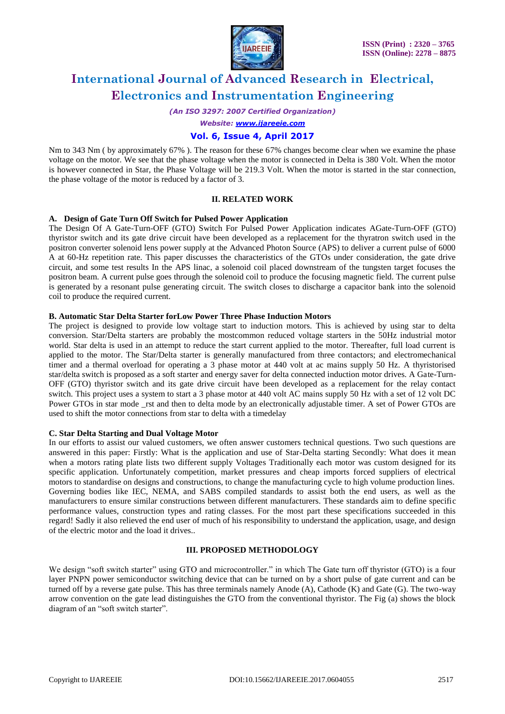

*(An ISO 3297: 2007 Certified Organization)*

*Website: [www.ijareeie.com](http://www.ijareeie.com/)*

### **Vol. 6, Issue 4, April 2017**

Nm to 343 Nm ( by approximately 67% ). The reason for these 67% changes become clear when we examine the phase voltage on the motor. We see that the phase voltage when the motor is connected in Delta is 380 Volt. When the motor is however connected in Star, the Phase Voltage will be 219.3 Volt. When the motor is started in the star connection, the phase voltage of the motor is reduced by a factor of 3.

#### **II. RELATED WORK**

#### **A. Design of Gate Turn Off Switch for Pulsed Power Application**

The Design Of A Gate-Turn-OFF (GTO) Switch For Pulsed Power Application indicates AGate-Turn-OFF (GTO) thyristor switch and its gate drive circuit have been developed as a replacement for the thyratron switch used in the positron converter solenoid lens power supply at the Advanced Photon Source (APS) to deliver a current pulse of 6000 A at 60-Hz repetition rate. This paper discusses the characteristics of the GTOs under consideration, the gate drive circuit, and some test results In the APS linac, a solenoid coil placed downstream of the tungsten target focuses the positron beam. A current pulse goes through the solenoid coil to produce the focusing magnetic field. The current pulse is generated by a resonant pulse generating circuit. The switch closes to discharge a capacitor bank into the solenoid coil to produce the required current.

#### **B. Automatic Star Delta Starter forLow Power Three Phase Induction Motors**

The project is designed to provide low voltage start to induction motors. This is achieved by using star to delta conversion. Star/Delta starters are probably the mostcommon reduced voltage starters in the 50Hz industrial motor world. Star delta is used in an attempt to reduce the start current applied to the motor. Thereafter, full load current is applied to the motor. The Star/Delta starter is generally manufactured from three contactors; and electromechanical timer and a thermal overload for operating a 3 phase motor at 440 volt at ac mains supply 50 Hz. A thyristorised star/delta switch is proposed as a soft starter and energy saver for delta connected induction motor drives. A Gate-Turn-OFF (GTO) thyristor switch and its gate drive circuit have been developed as a replacement for the relay contact switch. This project uses a system to start a 3 phase motor at 440 volt AC mains supply 50 Hz with a set of 12 volt DC Power GTOs in star mode rst and then to delta mode by an electronically adjustable timer. A set of Power GTOs are used to shift the motor connections from star to delta with a timedelay

#### **C. Star Delta Starting and Dual Voltage Motor**

In our efforts to assist our valued customers, we often answer customers technical questions. Two such questions are answered in this paper: Firstly: What is the application and use of Star-Delta starting Secondly: What does it mean when a motors rating plate lists two different supply Voltages Traditionally each motor was custom designed for its specific application. Unfortunately competition, market pressures and cheap imports forced suppliers of electrical motors to standardise on designs and constructions, to change the manufacturing cycle to high volume production lines. Governing bodies like IEC, NEMA, and SABS compiled standards to assist both the end users, as well as the manufacturers to ensure similar constructions between different manufacturers. These standards aim to define specific performance values, construction types and rating classes. For the most part these specifications succeeded in this regard! Sadly it also relieved the end user of much of his responsibility to understand the application, usage, and design of the electric motor and the load it drives..

#### **III. PROPOSED METHODOLOGY**

We design "soft switch starter" using GTO and microcontroller." in which The Gate turn off thyristor (GTO) is a four layer PNPN power semiconductor switching device that can be turned on by a short pulse of gate current and can be turned off by a reverse gate pulse. This has three terminals namely Anode (A), Cathode (K) and Gate (G). The two-way arrow convention on the gate lead distinguishes the GTO from the conventional thyristor. The Fig (a) shows the block diagram of an "soft switch starter".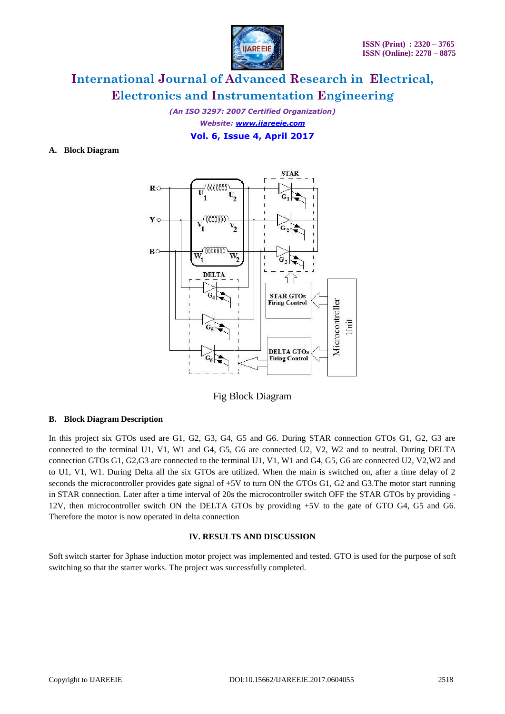

*(An ISO 3297: 2007 Certified Organization) Website: [www.ijareeie.com](http://www.ijareeie.com/)* **Vol. 6, Issue 4, April 2017**

#### **A. Block Diagram**



Fig Block Diagram

#### **B. Block Diagram Description**

In this project six GTOs used are G1, G2, G3, G4, G5 and G6. During STAR connection GTOs G1, G2, G3 are connected to the terminal U1, V1, W1 and G4, G5, G6 are connected U2, V2, W2 and to neutral. During DELTA connection GTOs G1, G2,G3 are connected to the terminal U1, V1, W1 and G4, G5, G6 are connected U2, V2,W2 and to U1, V1, W1. During Delta all the six GTOs are utilized. When the main is switched on, after a time delay of 2 seconds the microcontroller provides gate signal of +5V to turn ON the GTOs G1, G2 and G3.The motor start running in STAR connection. Later after a time interval of 20s the microcontroller switch OFF the STAR GTOs by providing - 12V, then microcontroller switch ON the DELTA GTOs by providing +5V to the gate of GTO G4, G5 and G6. Therefore the motor is now operated in delta connection

#### **IV. RESULTS AND DISCUSSION**

Soft switch starter for 3phase induction motor project was implemented and tested. GTO is used for the purpose of soft switching so that the starter works. The project was successfully completed.